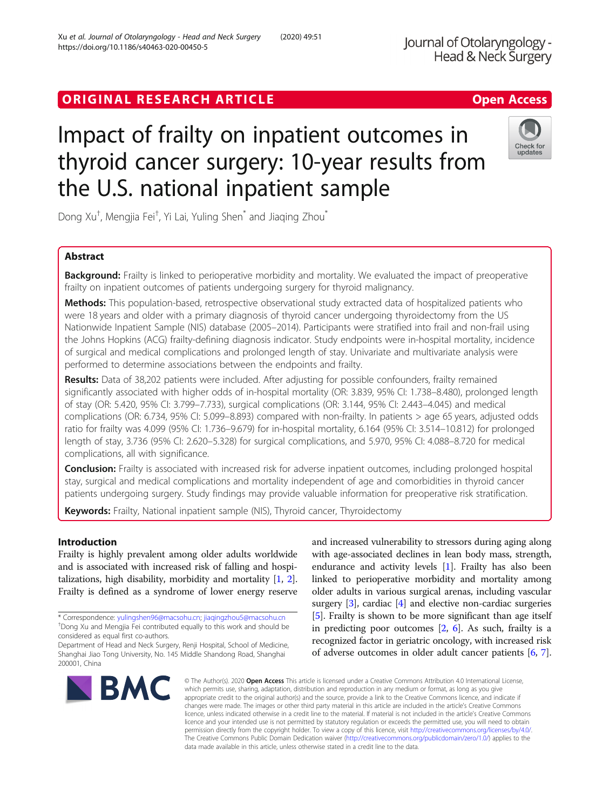# ORIGINAL RESEARCH ARTICLE **Solution Contract Contract Contract Contract Contract Contract Contract Contract Contract Contract Contract Contract Contract Contract Contract Contract Contract Contract Contract Contract Contra**

# Impact of frailty on inpatient outcomes in thyroid cancer surgery: 10-year results from the U.S. national inpatient sample

Dong Xu<sup>†</sup>, Mengjia Fei<sup>†</sup>, Yi Lai, Yuling Shen<sup>\*</sup> and Jiaqing Zhou<sup>\*</sup>

# Abstract

**Background:** Frailty is linked to perioperative morbidity and mortality. We evaluated the impact of preoperative frailty on inpatient outcomes of patients undergoing surgery for thyroid malignancy.

Methods: This population-based, retrospective observational study extracted data of hospitalized patients who were 18 years and older with a primary diagnosis of thyroid cancer undergoing thyroidectomy from the US Nationwide Inpatient Sample (NIS) database (2005–2014). Participants were stratified into frail and non-frail using the Johns Hopkins (ACG) frailty-defining diagnosis indicator. Study endpoints were in-hospital mortality, incidence of surgical and medical complications and prolonged length of stay. Univariate and multivariate analysis were performed to determine associations between the endpoints and frailty.

Results: Data of 38,202 patients were included. After adjusting for possible confounders, frailty remained significantly associated with higher odds of in-hospital mortality (OR: 3.839, 95% CI: 1.738–8.480), prolonged length of stay (OR: 5.420, 95% CI: 3.799–7.733), surgical complications (OR: 3.144, 95% CI: 2.443–4.045) and medical complications (OR: 6.734, 95% CI: 5.099–8.893) compared with non-frailty. In patients > age 65 years, adjusted odds ratio for frailty was 4.099 (95% CI: 1.736–9.679) for in-hospital mortality, 6.164 (95% CI: 3.514–10.812) for prolonged length of stay, 3.736 (95% CI: 2.620–5.328) for surgical complications, and 5.970, 95% CI: 4.088–8.720 for medical complications, all with significance.

Conclusion: Frailty is associated with increased risk for adverse inpatient outcomes, including prolonged hospital stay, surgical and medical complications and mortality independent of age and comorbidities in thyroid cancer patients undergoing surgery. Study findings may provide valuable information for preoperative risk stratification.

Keywords: Frailty, National inpatient sample (NIS), Thyroid cancer, Thyroidectomy

# Introduction

Frailty is highly prevalent among older adults worldwide and is associated with increased risk of falling and hospitalizations, high disability, morbidity and mortality [[1,](#page-9-0) [2](#page-9-0)]. Frailty is defined as a syndrome of lower energy reserve and increased vulnerability to stressors during aging along with age-associated declines in lean body mass, strength, endurance and activity levels [\[1\]](#page-9-0). Frailty has also been linked to perioperative morbidity and mortality among older adults in various surgical arenas, including vascular surgery [[3](#page-9-0)], cardiac [\[4\]](#page-9-0) and elective non-cardiac surgeries [[5\]](#page-9-0). Frailty is shown to be more significant than age itself in predicting poor outcomes [\[2,](#page-9-0) [6](#page-9-0)]. As such, frailty is a recognized factor in geriatric oncology, with increased risk of adverse outcomes in older adult cancer patients [\[6,](#page-9-0) [7](#page-9-0)].

© The Author(s), 2020 **Open Access** This article is licensed under a Creative Commons Attribution 4.0 International License, which permits use, sharing, adaptation, distribution and reproduction in any medium or format, as long as you give appropriate credit to the original author(s) and the source, provide a link to the Creative Commons licence, and indicate if changes were made. The images or other third party material in this article are included in the article's Creative Commons licence, unless indicated otherwise in a credit line to the material. If material is not included in the article's Creative Commons licence and your intended use is not permitted by statutory regulation or exceeds the permitted use, you will need to obtain permission directly from the copyright holder. To view a copy of this licence, visit [http://creativecommons.org/licenses/by/4.0/.](http://creativecommons.org/licenses/by/4.0/) The Creative Commons Public Domain Dedication waiver [\(http://creativecommons.org/publicdomain/zero/1.0/](http://creativecommons.org/publicdomain/zero/1.0/)) applies to the data made available in this article, unless otherwise stated in a credit line to the data.

<sup>+</sup>Dong Xu and Mengjia Fei contributed equally to this work and should be considered as equal first co-authors.

200001, China







<sup>\*</sup> Correspondence: [yulingshen96@macsohu.cn;](mailto:yulingshen96@macsohu.cn) [jiaqingzhou5@macsohu.cn](mailto:jiaqingzhou5@macsohu.cn) †

Department of Head and Neck Surgery, Renji Hospital, School of Medicine, Shanghai Jiao Tong University, No. 145 Middle Shandong Road, Shanghai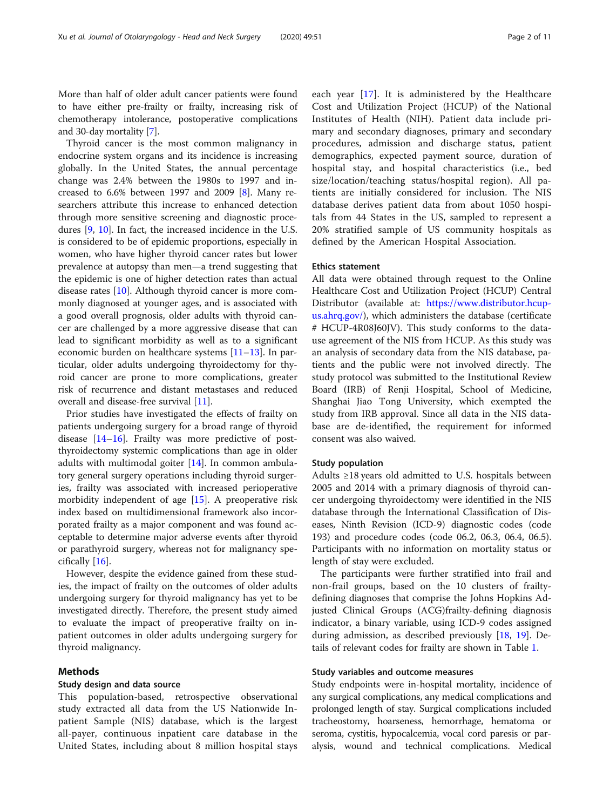More than half of older adult cancer patients were found to have either pre-frailty or frailty, increasing risk of chemotherapy intolerance, postoperative complications and 30-day mortality [[7\]](#page-9-0).

Thyroid cancer is the most common malignancy in endocrine system organs and its incidence is increasing globally. In the United States, the annual percentage change was 2.4% between the 1980s to 1997 and increased to  $6.6\%$  between 1997 and 2009 [\[8](#page-9-0)]. Many researchers attribute this increase to enhanced detection through more sensitive screening and diagnostic procedures [[9](#page-9-0), [10\]](#page-9-0). In fact, the increased incidence in the U.S. is considered to be of epidemic proportions, especially in women, who have higher thyroid cancer rates but lower prevalence at autopsy than men—a trend suggesting that the epidemic is one of higher detection rates than actual disease rates [[10\]](#page-9-0). Although thyroid cancer is more commonly diagnosed at younger ages, and is associated with a good overall prognosis, older adults with thyroid cancer are challenged by a more aggressive disease that can lead to significant morbidity as well as to a significant economic burden on healthcare systems  $[11-13]$  $[11-13]$  $[11-13]$  $[11-13]$ . In particular, older adults undergoing thyroidectomy for thyroid cancer are prone to more complications, greater risk of recurrence and distant metastases and reduced overall and disease-free survival [[11](#page-9-0)].

Prior studies have investigated the effects of frailty on patients undergoing surgery for a broad range of thyroid disease [\[14](#page-9-0)–[16\]](#page-9-0). Frailty was more predictive of postthyroidectomy systemic complications than age in older adults with multimodal goiter [[14](#page-9-0)]. In common ambulatory general surgery operations including thyroid surgeries, frailty was associated with increased perioperative morbidity independent of age [[15\]](#page-9-0). A preoperative risk index based on multidimensional framework also incorporated frailty as a major component and was found acceptable to determine major adverse events after thyroid or parathyroid surgery, whereas not for malignancy specifically [\[16](#page-9-0)].

However, despite the evidence gained from these studies, the impact of frailty on the outcomes of older adults undergoing surgery for thyroid malignancy has yet to be investigated directly. Therefore, the present study aimed to evaluate the impact of preoperative frailty on inpatient outcomes in older adults undergoing surgery for thyroid malignancy.

#### Methods

#### Study design and data source

This population-based, retrospective observational study extracted all data from the US Nationwide Inpatient Sample (NIS) database, which is the largest all-payer, continuous inpatient care database in the United States, including about 8 million hospital stays each year [[17](#page-9-0)]. It is administered by the Healthcare Cost and Utilization Project (HCUP) of the National Institutes of Health (NIH). Patient data include primary and secondary diagnoses, primary and secondary procedures, admission and discharge status, patient demographics, expected payment source, duration of hospital stay, and hospital characteristics (i.e., bed size/location/teaching status/hospital region). All patients are initially considered for inclusion. The NIS database derives patient data from about 1050 hospitals from 44 States in the US, sampled to represent a 20% stratified sample of US community hospitals as defined by the American Hospital Association.

#### Ethics statement

All data were obtained through request to the Online Healthcare Cost and Utilization Project (HCUP) Central Distributor (available at: [https://www.distributor.hcup](https://www.distributor.hcup-us.ahrq.gov/)[us.ahrq.gov/\)](https://www.distributor.hcup-us.ahrq.gov/), which administers the database (certificate # HCUP-4R08J60JV). This study conforms to the datause agreement of the NIS from HCUP. As this study was an analysis of secondary data from the NIS database, patients and the public were not involved directly. The study protocol was submitted to the Institutional Review Board (IRB) of Renji Hospital, School of Medicine, Shanghai Jiao Tong University, which exempted the study from IRB approval. Since all data in the NIS database are de-identified, the requirement for informed consent was also waived.

#### Study population

Adults ≥18 years old admitted to U.S. hospitals between 2005 and 2014 with a primary diagnosis of thyroid cancer undergoing thyroidectomy were identified in the NIS database through the International Classification of Diseases, Ninth Revision (ICD-9) diagnostic codes (code 193) and procedure codes (code 06.2, 06.3, 06.4, 06.5). Participants with no information on mortality status or length of stay were excluded.

The participants were further stratified into frail and non-frail groups, based on the 10 clusters of frailtydefining diagnoses that comprise the Johns Hopkins Adjusted Clinical Groups (ACG)frailty-defining diagnosis indicator, a binary variable, using ICD-9 codes assigned during admission, as described previously [[18,](#page-9-0) [19\]](#page-9-0). Details of relevant codes for frailty are shown in Table [1](#page-2-0).

#### Study variables and outcome measures

Study endpoints were in-hospital mortality, incidence of any surgical complications, any medical complications and prolonged length of stay. Surgical complications included tracheostomy, hoarseness, hemorrhage, hematoma or seroma, cystitis, hypocalcemia, vocal cord paresis or paralysis, wound and technical complications. Medical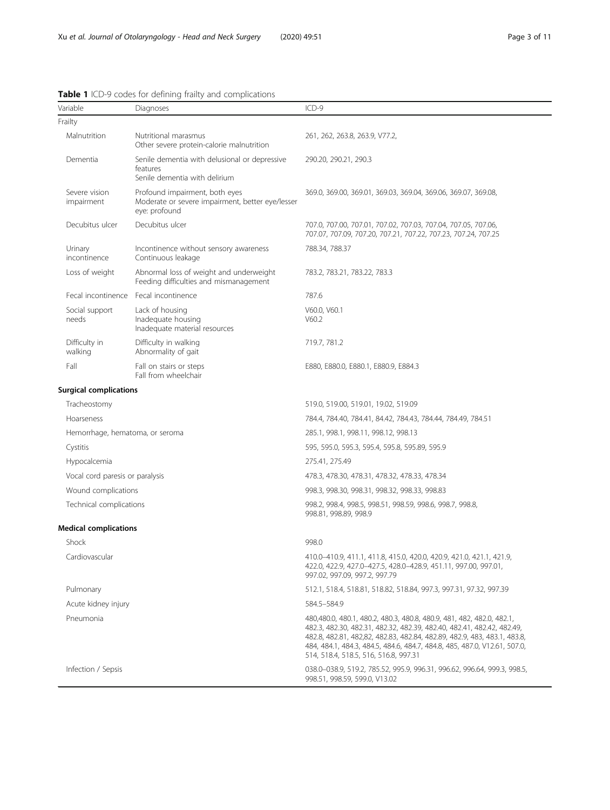| Variable                                                                          | Diagnoses                                                                                           | $ICD-9$                                                                                                                                                                                                                                                                                                                                           |  |  |
|-----------------------------------------------------------------------------------|-----------------------------------------------------------------------------------------------------|---------------------------------------------------------------------------------------------------------------------------------------------------------------------------------------------------------------------------------------------------------------------------------------------------------------------------------------------------|--|--|
| Frailty                                                                           |                                                                                                     |                                                                                                                                                                                                                                                                                                                                                   |  |  |
| Malnutrition<br>Nutritional marasmus<br>Other severe protein-calorie malnutrition |                                                                                                     | 261, 262, 263.8, 263.9, V77.2,                                                                                                                                                                                                                                                                                                                    |  |  |
| Dementia                                                                          | Senile dementia with delusional or depressive<br>features<br>Senile dementia with delirium          | 290.20, 290.21, 290.3                                                                                                                                                                                                                                                                                                                             |  |  |
| Severe vision<br>impairment                                                       | Profound impairment, both eyes<br>Moderate or severe impairment, better eye/lesser<br>eye: profound | 369.0, 369.00, 369.01, 369.03, 369.04, 369.06, 369.07, 369.08,                                                                                                                                                                                                                                                                                    |  |  |
| Decubitus ulcer                                                                   | Decubitus ulcer                                                                                     | 707.0, 707.00, 707.01, 707.02, 707.03, 707.04, 707.05, 707.06,<br>707.07, 707.09, 707.20, 707.21, 707.22, 707.23, 707.24, 707.25                                                                                                                                                                                                                  |  |  |
| Urinary<br>incontinence                                                           | Incontinence without sensory awareness<br>Continuous leakage                                        | 788.34, 788.37                                                                                                                                                                                                                                                                                                                                    |  |  |
| Loss of weight                                                                    | Abnormal loss of weight and underweight<br>Feeding difficulties and mismanagement                   | 783.2, 783.21, 783.22, 783.3                                                                                                                                                                                                                                                                                                                      |  |  |
| Fecal incontinence                                                                | Fecal incontinence                                                                                  | 787.6                                                                                                                                                                                                                                                                                                                                             |  |  |
| Social support<br>needs                                                           | Lack of housing<br>Inadequate housing<br>Inadequate material resources                              | V60.0, V60.1<br>V60.2                                                                                                                                                                                                                                                                                                                             |  |  |
| Difficulty in<br>walking                                                          | Difficulty in walking<br>Abnormality of gait                                                        | 719.7, 781.2                                                                                                                                                                                                                                                                                                                                      |  |  |
| Fall                                                                              | Fall on stairs or steps<br>Fall from wheelchair                                                     | E880, E880.0, E880.1, E880.9, E884.3                                                                                                                                                                                                                                                                                                              |  |  |
| <b>Surgical complications</b>                                                     |                                                                                                     |                                                                                                                                                                                                                                                                                                                                                   |  |  |
| Tracheostomy                                                                      |                                                                                                     | 519.0, 519.00, 519.01, 19.02, 519.09                                                                                                                                                                                                                                                                                                              |  |  |
| Hoarseness                                                                        |                                                                                                     | 784.4, 784.40, 784.41, 84.42, 784.43, 784.44, 784.49, 784.51                                                                                                                                                                                                                                                                                      |  |  |
| Hemorrhage, hematoma, or seroma                                                   |                                                                                                     | 285.1, 998.1, 998.11, 998.12, 998.13                                                                                                                                                                                                                                                                                                              |  |  |
| Cystitis                                                                          |                                                                                                     | 595, 595.0, 595.3, 595.4, 595.8, 595.89, 595.9                                                                                                                                                                                                                                                                                                    |  |  |
| Hypocalcemia                                                                      |                                                                                                     | 275.41, 275.49                                                                                                                                                                                                                                                                                                                                    |  |  |
| Vocal cord paresis or paralysis                                                   |                                                                                                     | 478.3, 478.30, 478.31, 478.32, 478.33, 478.34                                                                                                                                                                                                                                                                                                     |  |  |
| Wound complications                                                               |                                                                                                     | 998.3, 998.30, 998.31, 998.32, 998.33, 998.83                                                                                                                                                                                                                                                                                                     |  |  |
| Technical complications                                                           |                                                                                                     | 998.2, 998.4, 998.5, 998.51, 998.59, 998.6, 998.7, 998.8,<br>998.81, 998.89, 998.9                                                                                                                                                                                                                                                                |  |  |
| <b>Medical complications</b>                                                      |                                                                                                     |                                                                                                                                                                                                                                                                                                                                                   |  |  |
| Shock                                                                             |                                                                                                     | 998.0                                                                                                                                                                                                                                                                                                                                             |  |  |
| Cardiovascular                                                                    |                                                                                                     | 410.0-410.9, 411.1, 411.8, 415.0, 420.0, 420.9, 421.0, 421.1, 421.9,<br>422.0, 422.9, 427.0-427.5, 428.0-428.9, 451.11, 997.00, 997.01,<br>997.02, 997.09, 997.2, 997.79                                                                                                                                                                          |  |  |
| Pulmonary                                                                         |                                                                                                     | 512.1, 518.4, 518.81, 518.82, 518.84, 997.3, 997.31, 97.32, 997.39                                                                                                                                                                                                                                                                                |  |  |
| Acute kidney injury                                                               |                                                                                                     | 584.5-584.9                                                                                                                                                                                                                                                                                                                                       |  |  |
| Pneumonia                                                                         |                                                                                                     | 480,480.0, 480.1, 480.2, 480.3, 480.8, 480.9, 481, 482, 482.0, 482.1,<br>482.3, 482.30, 482.31, 482.32, 482.39, 482.40, 482.41, 482.42, 482.49,<br>482.8, 482.81, 482,82, 482.83, 482.84, 482.89, 482.9, 483, 483.1, 483.8,<br>484, 484.1, 484.3, 484.5, 484.6, 484.7, 484.8, 485, 487.0, V12.61, 507.0,<br>514, 518.4, 518.5, 516, 516.8, 997.31 |  |  |
| Infection / Sepsis                                                                |                                                                                                     | 038.0-038.9, 519.2, 785.52, 995.9, 996.31, 996.62, 996.64, 999.3, 998.5,<br>998.51, 998.59, 599.0, V13.02                                                                                                                                                                                                                                         |  |  |

# <span id="page-2-0"></span>Table 1 ICD-9 codes for defining frailty and complications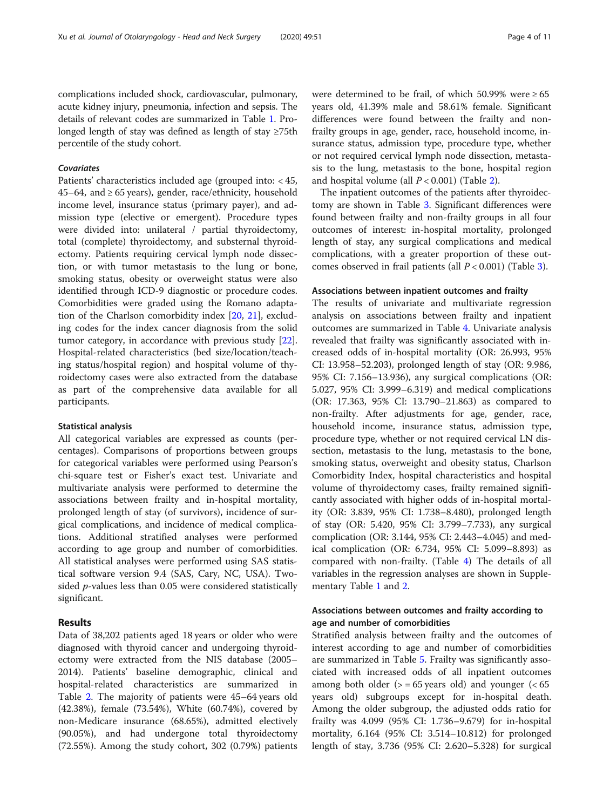complications included shock, cardiovascular, pulmonary, acute kidney injury, pneumonia, infection and sepsis. The details of relevant codes are summarized in Table [1.](#page-2-0) Prolonged length of stay was defined as length of stay ≥75th percentile of the study cohort.

# Covariates

Patients' characteristics included age (grouped into: < 45, 45–64, and ≥ 65 years), gender, race/ethnicity, household income level, insurance status (primary payer), and admission type (elective or emergent). Procedure types were divided into: unilateral / partial thyroidectomy, total (complete) thyroidectomy, and substernal thyroidectomy. Patients requiring cervical lymph node dissection, or with tumor metastasis to the lung or bone, smoking status, obesity or overweight status were also identified through ICD-9 diagnostic or procedure codes. Comorbidities were graded using the Romano adaptation of the Charlson comorbidity index [\[20](#page-10-0), [21\]](#page-10-0), excluding codes for the index cancer diagnosis from the solid tumor category, in accordance with previous study [\[22](#page-10-0)]. Hospital-related characteristics (bed size/location/teaching status/hospital region) and hospital volume of thyroidectomy cases were also extracted from the database as part of the comprehensive data available for all participants.

#### Statistical analysis

All categorical variables are expressed as counts (percentages). Comparisons of proportions between groups for categorical variables were performed using Pearson's chi-square test or Fisher's exact test. Univariate and multivariate analysis were performed to determine the associations between frailty and in-hospital mortality, prolonged length of stay (of survivors), incidence of surgical complications, and incidence of medical complications. Additional stratified analyses were performed according to age group and number of comorbidities. All statistical analyses were performed using SAS statistical software version 9.4 (SAS, Cary, NC, USA). Twosided p-values less than 0.05 were considered statistically significant.

#### Results

Data of 38,202 patients aged 18 years or older who were diagnosed with thyroid cancer and undergoing thyroidectomy were extracted from the NIS database (2005– 2014). Patients' baseline demographic, clinical and hospital-related characteristics are summarized in Table [2.](#page-4-0) The majority of patients were 45–64 years old (42.38%), female (73.54%), White (60.74%), covered by non-Medicare insurance (68.65%), admitted electively (90.05%), and had undergone total thyroidectomy (72.55%). Among the study cohort, 302 (0.79%) patients were determined to be frail, of which 50.99% were  $\geq 65$ years old, 41.39% male and 58.61% female. Significant differences were found between the frailty and nonfrailty groups in age, gender, race, household income, insurance status, admission type, procedure type, whether or not required cervical lymph node dissection, metastasis to the lung, metastasis to the bone, hospital region and hospital volume (all  $P < 0.001$ ) (Table [2](#page-4-0)).

The inpatient outcomes of the patients after thyroidectomy are shown in Table [3.](#page-7-0) Significant differences were found between frailty and non-frailty groups in all four outcomes of interest: in-hospital mortality, prolonged length of stay, any surgical complications and medical complications, with a greater proportion of these outcomes observed in frail patients (all  $P < 0.001$ ) (Table [3\)](#page-7-0).

#### Associations between inpatient outcomes and frailty

The results of univariate and multivariate regression analysis on associations between frailty and inpatient outcomes are summarized in Table [4](#page-7-0). Univariate analysis revealed that frailty was significantly associated with increased odds of in-hospital mortality (OR: 26.993, 95% CI: 13.958–52.203), prolonged length of stay (OR: 9.986, 95% CI: 7.156–13.936), any surgical complications (OR: 5.027, 95% CI: 3.999–6.319) and medical complications (OR: 17.363, 95% CI: 13.790–21.863) as compared to non-frailty. After adjustments for age, gender, race, household income, insurance status, admission type, procedure type, whether or not required cervical LN dissection, metastasis to the lung, metastasis to the bone, smoking status, overweight and obesity status, Charlson Comorbidity Index, hospital characteristics and hospital volume of thyroidectomy cases, frailty remained significantly associated with higher odds of in-hospital mortality (OR: 3.839, 95% CI: 1.738–8.480), prolonged length of stay (OR: 5.420, 95% CI: 3.799–7.733), any surgical complication (OR: 3.144, 95% CI: 2.443–4.045) and medical complication (OR: 6.734, 95% CI: 5.099–8.893) as compared with non-frailty. (Table [4\)](#page-7-0) The details of all variables in the regression analyses are shown in Supplementary Table [1](#page-9-0) and [2.](#page-9-0)

### Associations between outcomes and frailty according to age and number of comorbidities

Stratified analysis between frailty and the outcomes of interest according to age and number of comorbidities are summarized in Table [5.](#page-8-0) Frailty was significantly associated with increased odds of all inpatient outcomes among both older  $(>= 65$  years old) and younger  $(< 65$ years old) subgroups except for in-hospital death. Among the older subgroup, the adjusted odds ratio for frailty was 4.099 (95% CI: 1.736–9.679) for in-hospital mortality, 6.164 (95% CI: 3.514–10.812) for prolonged length of stay, 3.736 (95% CI: 2.620–5.328) for surgical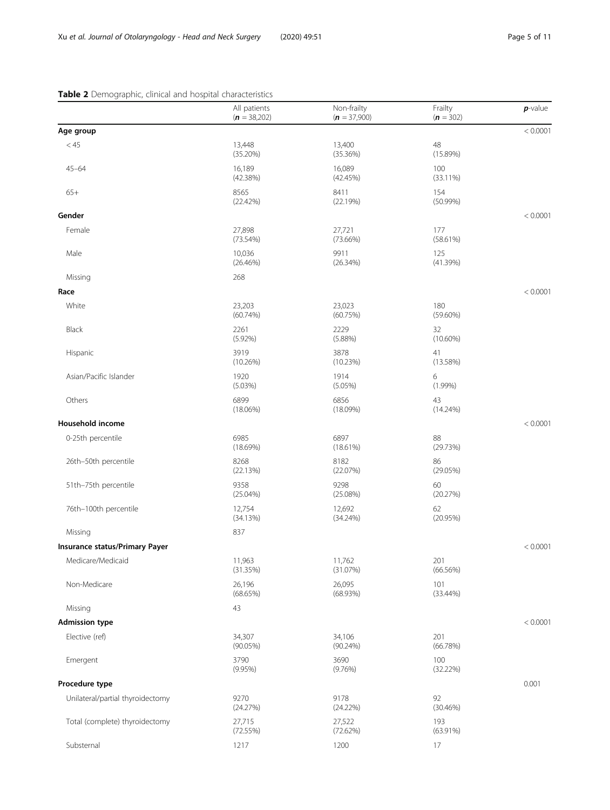# <span id="page-4-0"></span>Table 2 Demographic, clinical and hospital characteristics

|                                  | All patients<br>$(n = 38,202)$ | Non-frailty<br>$(n = 37,900)$ | Frailty<br>$(n = 302)$ | $p$ -value |
|----------------------------------|--------------------------------|-------------------------------|------------------------|------------|
| Age group                        |                                |                               |                        | < 0.0001   |
| < 45                             | 13,448<br>(35.20%)             | 13,400<br>(35.36%)            | 48<br>(15.89%)         |            |
| $45 - 64$                        | 16,189<br>(42.38%)             | 16,089<br>(42.45%)            | 100<br>(33.11%)        |            |
| $65+$                            | 8565<br>(22.42%)               | 8411<br>(22.19%)              | 154<br>$(50.99\%)$     |            |
| Gender                           |                                |                               |                        | < 0.0001   |
| Female                           | 27,898<br>$(73.54\%)$          | 27,721<br>$(73.66\%)$         | 177<br>(58.61%)        |            |
| Male                             | 10,036<br>(26.46%)             | 9911<br>(26.34%)              | 125<br>(41.39%)        |            |
| Missing                          | 268                            |                               |                        |            |
| Race                             |                                |                               |                        | < 0.0001   |
| White                            | 23,203<br>$(60.74\%)$          | 23,023<br>(60.75%)            | 180<br>$(59.60\%)$     |            |
| Black                            | 2261<br>$(5.92\%)$             | 2229<br>(5.88%)               | 32<br>$(10.60\%)$      |            |
| Hispanic                         | 3919<br>(10.26%)               | 3878<br>(10.23%)              | 41<br>(13.58%)         |            |
| Asian/Pacific Islander           | 1920<br>(5.03%)                | 1914<br>(5.05%)               | 6<br>$(1.99\%)$        |            |
| Others                           | 6899<br>$(18.06\%)$            | 6856<br>(18.09%)              | 43<br>$(14.24\%)$      |            |
| Household income                 |                                |                               |                        | < 0.0001   |
| 0-25th percentile                | 6985<br>(18.69%)               | 6897<br>(18.61%)              | 88<br>(29.73%)         |            |
| 26th-50th percentile             | 8268<br>(22.13%)               | 8182<br>(22.07%)              | 86<br>(29.05%)         |            |
| 51th-75th percentile             | 9358<br>$(25.04\%)$            | 9298<br>(25.08%)              | 60<br>(20.27%)         |            |
| 76th-100th percentile            | 12,754<br>(34.13%)             | 12,692<br>$(34.24\%)$         | 62<br>(20.95%)         |            |
| Missing                          | 837                            |                               |                        |            |
| Insurance status/Primary Payer   |                                |                               |                        | < 0.0001   |
| Medicare/Medicaid                | 11,963<br>(31.35%)             | 11,762<br>(31.07%)            | 201<br>(66.56%)        |            |
| Non-Medicare                     | 26,196<br>(68.65%)             | 26,095<br>(68.93%)            | 101<br>$(33.44\%)$     |            |
| Missing                          | 43                             |                               |                        |            |
| <b>Admission type</b>            |                                |                               |                        | < 0.0001   |
| Elective (ref)                   | 34,307<br>$(90.05\%)$          | 34,106<br>$(90.24\%)$         | 201<br>(66.78%)        |            |
| Emergent                         | 3790<br>$(9.95\%)$             | 3690<br>(9.76%)               | 100<br>(32.22%)        |            |
| Procedure type                   |                                |                               |                        | 0.001      |
| Unilateral/partial thyroidectomy | 9270<br>(24.27%)               | 9178<br>(24.22%)              | 92<br>(30.46%)         |            |
| Total (complete) thyroidectomy   | 27,715<br>(72.55%)             | 27,522<br>(72.62%)            | 193<br>$(63.91\%)$     |            |
| Substernal                       | 1217                           | 1200                          | 17                     |            |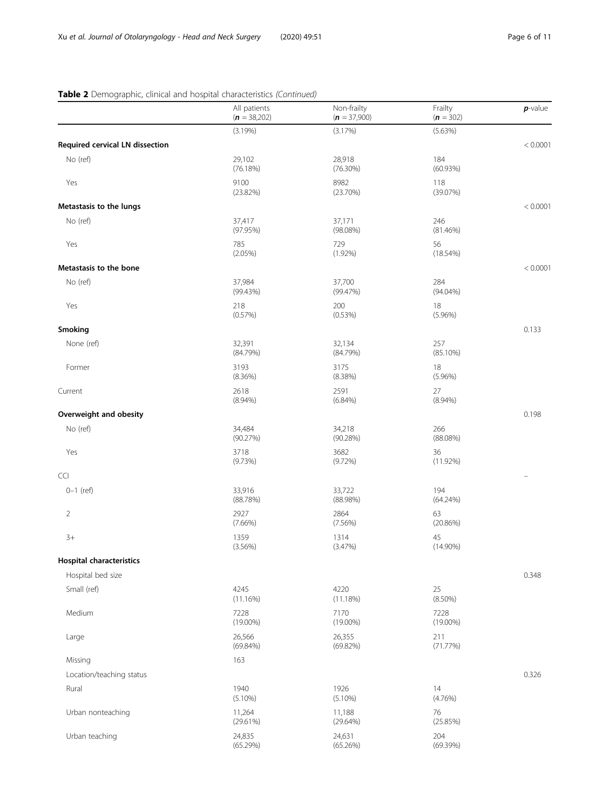# Table 2 Demographic, clinical and hospital characteristics (Continued)

|                                 | All patients<br>$(n = 38,202)$ | Non-frailty<br>$(n = 37,900)$ | Frailty<br>$(n = 302)$ | $p$ -value |
|---------------------------------|--------------------------------|-------------------------------|------------------------|------------|
|                                 | (3.19%)                        | (3.17%)                       | (5.63%)                |            |
| Required cervical LN dissection |                                |                               |                        | < 0.0001   |
| No (ref)                        | 29,102<br>(76.18%)             | 28,918<br>(76.30%)            | 184<br>(60.93%)        |            |
| Yes                             | 9100<br>(23.82%)               | 8982<br>(23.70%)              | 118<br>(39.07%)        |            |
| Metastasis to the lungs         |                                |                               |                        | < 0.0001   |
| No (ref)                        | 37,417<br>(97.95%)             | 37,171<br>(98.08%)            | 246<br>(81.46%)        |            |
| Yes                             | 785<br>$(2.05\%)$              | 729<br>$(1.92\%)$             | 56<br>(18.54%)         |            |
| Metastasis to the bone          |                                |                               |                        | < 0.0001   |
| No (ref)                        | 37,984<br>(99.43%)             | 37,700<br>(99.47%)            | 284<br>$(94.04\%)$     |            |
| Yes                             | 218<br>(0.57%)                 | 200<br>(0.53%)                | 18<br>$(5.96\%)$       |            |
| Smoking                         |                                |                               |                        | 0.133      |
| None (ref)                      | 32,391<br>(84.79%)             | 32,134<br>(84.79%)            | 257<br>(85.10%)        |            |
| Former                          | 3193<br>(8.36%)                | 3175<br>(8.38%)               | 18<br>$(5.96\%)$       |            |
| Current                         | 2618<br>$(8.94\%)$             | 2591<br>$(6.84\%)$            | 27<br>$(8.94\%)$       |            |
| Overweight and obesity          |                                |                               |                        | 0.198      |
| No (ref)                        | 34,484<br>(90.27%)             | 34,218<br>(90.28%)            | 266<br>(88.08%)        |            |
| Yes                             | 3718<br>(9.73%)                | 3682<br>$(9.72\%)$            | 36<br>$(11.92\%)$      |            |
| <b>CCI</b>                      |                                |                               |                        |            |
| $0 - 1$ (ref)                   | 33,916<br>(88.78%)             | 33,722<br>(88.98%)            | 194<br>$(64.24\%)$     |            |
| $\overline{2}$                  | 2927<br>$(7.66\%)$             | 2864<br>(7.56%)               | 63<br>(20.86%)         |            |
| $3+$                            | 1359<br>$(3.56\%)$             | 1314<br>(3.47%)               | 45<br>$(14.90\%)$      |            |
| <b>Hospital characteristics</b> |                                |                               |                        |            |
| Hospital bed size               |                                |                               |                        | 0.348      |
| Small (ref)                     | 4245<br>(11.16%)               | 4220<br>(11.18%)              | 25<br>$(8.50\%)$       |            |
| Medium                          | 7228<br>$(19.00\%)$            | 7170<br>$(19.00\%)$           | 7228<br>$(19.00\%)$    |            |
| Large                           | 26,566<br>$(69.84\%)$          | 26,355<br>(69.82%)            | 211<br>(71.77%)        |            |
| Missing                         | 163                            |                               |                        |            |
| Location/teaching status        |                                |                               |                        | 0.326      |
| Rural                           | 1940<br>$(5.10\%)$             | 1926<br>$(5.10\%)$            | 14<br>(4.76%)          |            |
| Urban nonteaching               | 11,264<br>(29.61%)             | 11,188<br>(29.64%)            | 76<br>(25.85%)         |            |
| Urban teaching                  | 24,835<br>(65.29%)             | 24,631<br>(65.26%)            | 204<br>(69.39%)        |            |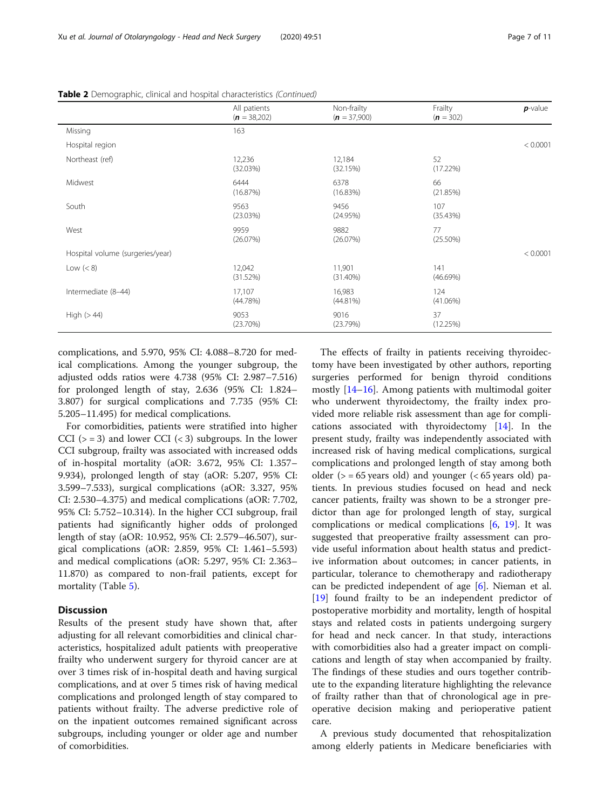|                                  | All patients<br>$(n = 38,202)$ | Non-frailty<br>$(n = 37,900)$ | Frailty<br>$(n = 302)$ | $p$ -value |
|----------------------------------|--------------------------------|-------------------------------|------------------------|------------|
| Missing                          | 163                            |                               |                        |            |
| Hospital region                  |                                |                               |                        | < 0.0001   |
| Northeast (ref)                  | 12,236<br>(32.03%)             | 12,184<br>(32.15%)            | 52<br>(17.22%)         |            |
| Midwest                          | 6444<br>(16.87%)               | 6378<br>(16.83%)              | 66<br>(21.85%)         |            |
| South                            | 9563<br>(23.03%)               | 9456<br>(24.95%)              | 107<br>(35.43%)        |            |
| West                             | 9959<br>(26.07%)               | 9882<br>(26.07%)              | 77<br>$(25.50\%)$      |            |
| Hospital volume (surgeries/year) |                                |                               |                        | < 0.0001   |
| Low $(< 8)$                      | 12,042<br>(31.52%)             | 11,901<br>$(31.40\%)$         | 141<br>(46.69%)        |            |
| Intermediate (8-44)              | 17,107<br>(44.78%)             | 16,983<br>(44.81%)            | 124<br>$(41.06\%)$     |            |
| High $(>44)$                     | 9053<br>(23.70%)               | 9016<br>(23.79%)              | 37<br>(12.25%)         |            |

Table 2 Demographic, clinical and hospital characteristics (Continued)

complications, and 5.970, 95% CI: 4.088–8.720 for medical complications. Among the younger subgroup, the adjusted odds ratios were 4.738 (95% CI: 2.987–7.516) for prolonged length of stay, 2.636 (95% CI: 1.824– 3.807) for surgical complications and 7.735 (95% CI: 5.205–11.495) for medical complications.

For comorbidities, patients were stratified into higher CCI ( $>$  = 3) and lower CCI ( $<$  3) subgroups. In the lower CCI subgroup, frailty was associated with increased odds of in-hospital mortality (aOR: 3.672, 95% CI: 1.357– 9.934), prolonged length of stay (aOR: 5.207, 95% CI: 3.599–7.533), surgical complications (aOR: 3.327, 95% CI: 2.530–4.375) and medical complications (aOR: 7.702, 95% CI: 5.752–10.314). In the higher CCI subgroup, frail patients had significantly higher odds of prolonged length of stay (aOR: 10.952, 95% CI: 2.579–46.507), surgical complications (aOR: 2.859, 95% CI: 1.461–5.593) and medical complications (aOR: 5.297, 95% CI: 2.363– 11.870) as compared to non-frail patients, except for mortality (Table [5\)](#page-8-0).

# **Discussion**

Results of the present study have shown that, after adjusting for all relevant comorbidities and clinical characteristics, hospitalized adult patients with preoperative frailty who underwent surgery for thyroid cancer are at over 3 times risk of in-hospital death and having surgical complications, and at over 5 times risk of having medical complications and prolonged length of stay compared to patients without frailty. The adverse predictive role of on the inpatient outcomes remained significant across subgroups, including younger or older age and number of comorbidities.

The effects of frailty in patients receiving thyroidectomy have been investigated by other authors, reporting surgeries performed for benign thyroid conditions mostly [[14](#page-9-0)–[16](#page-9-0)]. Among patients with multimodal goiter who underwent thyroidectomy, the frailty index provided more reliable risk assessment than age for complications associated with thyroidectomy [\[14](#page-9-0)]. In the present study, frailty was independently associated with increased risk of having medical complications, surgical complications and prolonged length of stay among both older ( $>$  = 65 years old) and younger ( $<$  65 years old) patients. In previous studies focused on head and neck cancer patients, frailty was shown to be a stronger predictor than age for prolonged length of stay, surgical complications or medical complications [[6,](#page-9-0) [19](#page-9-0)]. It was suggested that preoperative frailty assessment can provide useful information about health status and predictive information about outcomes; in cancer patients, in particular, tolerance to chemotherapy and radiotherapy can be predicted independent of age [[6\]](#page-9-0). Nieman et al. [[19\]](#page-9-0) found frailty to be an independent predictor of postoperative morbidity and mortality, length of hospital stays and related costs in patients undergoing surgery for head and neck cancer. In that study, interactions with comorbidities also had a greater impact on complications and length of stay when accompanied by frailty. The findings of these studies and ours together contribute to the expanding literature highlighting the relevance of frailty rather than that of chronological age in preoperative decision making and perioperative patient care.

A previous study documented that rehospitalization among elderly patients in Medicare beneficiaries with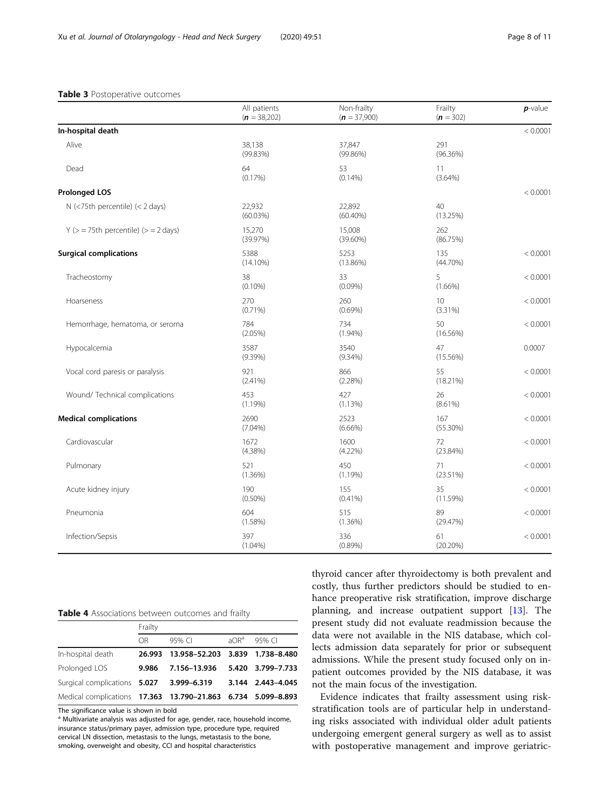#### <span id="page-7-0"></span>Table 3 Postoperative outcomes

|                                              | All patients<br>$(n = 38,202)$ | Non-frailty<br>$(n = 37,900)$ | Frailty<br>$(n = 302)$ | $p$ -value |
|----------------------------------------------|--------------------------------|-------------------------------|------------------------|------------|
| In-hospital death                            |                                |                               |                        | < 0.0001   |
| Alive                                        | 38,138<br>(99.83%)             | 37,847<br>(99.86%)            | 291<br>$(96.36\%)$     |            |
| Dead                                         | 64<br>$(0.17\%)$               | 53<br>$(0.14\%)$              | 11<br>$(3.64\%)$       |            |
| <b>Prolonged LOS</b>                         |                                |                               |                        | < 0.0001   |
| $N$ (<75th percentile) (< 2 days)            | 22,932<br>(60.03%)             | 22,892<br>$(60.40\%)$         | 40<br>(13.25%)         |            |
| $Y$ ( $>$ = 75th percentile) ( $>$ = 2 days) | 15,270<br>(39.97%)             | 15,008<br>$(39.60\%)$         | 262<br>(86.75%)        |            |
| <b>Surgical complications</b>                | 5388<br>$(14.10\%)$            | 5253<br>$(13.86\%)$           | 135<br>$(44.70\%)$     | < 0.0001   |
| Tracheostomy                                 | 38<br>$(0.10\%)$               | 33<br>$(0.09\%)$              | 5<br>$(1.66\%)$        | < 0.0001   |
| Hoarseness                                   | 270<br>$(0.71\%)$              | 260<br>$(0.69\%)$             | 10<br>$(3.31\%)$       | < 0.0001   |
| Hemorrhage, hematoma, or seroma              | 784<br>$(2.05\%)$              | 734<br>$(1.94\%)$             | 50<br>(16.56%)         | < 0.0001   |
| Hypocalcemia                                 | 3587<br>$(9.39\%)$             | 3540<br>$(9.34\%)$            | 47<br>$(15.56\%)$      | 0.0007     |
| Vocal cord paresis or paralysis              | 921<br>$(2.41\%)$              | 866<br>(2.28%)                | 55<br>$(18.21\%)$      | < 0.0001   |
| Wound/ Technical complications               | 453<br>$(1.19\%)$              | 427<br>(1.13%)                | 26<br>$(8.61\%)$       | < 0.0001   |
| <b>Medical complications</b>                 | 2690<br>$(7.04\%)$             | 2523<br>$(6.66\%)$            | 167<br>$(55.30\%)$     | < 0.0001   |
| Cardiovascular                               | 1672<br>$(4.38\%)$             | 1600<br>$(4.22\%)$            | 72<br>$(23.84\%)$      | < 0.0001   |
| Pulmonary                                    | 521<br>$(1.36\%)$              | 450<br>(1.19%)                | 71<br>$(23.51\%)$      | < 0.0001   |
| Acute kidney injury                          | 190<br>$(0.50\%)$              | 155<br>$(0.41\%)$             | 35<br>(11.59%)         | < 0.0001   |
| Pneumonia                                    | 604<br>(1.58%)                 | 515<br>(1.36%)                | 89<br>(29.47%)         | < 0.0001   |
| Infection/Sepsis                             | 397<br>$(1.04\%)$              | 336<br>$(0.89\%)$             | 61<br>$(20.20\%)$      | < 0.0001   |

#### Table 4 Associations between outcomes and frailty

|                                                              | Frailty |                                 |         |                   |
|--------------------------------------------------------------|---------|---------------------------------|---------|-------------------|
|                                                              | OR.     | 95% CI                          | $AOR^a$ | 95% CI            |
| In-hospital death                                            | 26.993  | 13.958-52.203 3.839 1.738-8.480 |         |                   |
| Prolonged LOS                                                | 9.986   | 7.156-13.936                    |         | 5.420 3.799-7.733 |
| Surgical complications 5.027 3.999-6.319                     |         |                                 |         | 3.144 2.443-4.045 |
| Medical complications 17.363 13.790-21.863 6.734 5.099-8.893 |         |                                 |         |                   |

The significance value is shown in bold

<sup>a</sup> Multivariate analysis was adjusted for age, gender, race, household income, insurance status/primary payer, admission type, procedure type, required cervical LN dissection, metastasis to the lungs, metastasis to the bone, smoking, overweight and obesity, CCI and hospital characteristics

thyroid cancer after thyroidectomy is both prevalent and costly, thus further predictors should be studied to enhance preoperative risk stratification, improve discharge planning, and increase outpatient support [[13](#page-9-0)]. The present study did not evaluate readmission because the data were not available in the NIS database, which collects admission data separately for prior or subsequent admissions. While the present study focused only on inpatient outcomes provided by the NIS database, it was not the main focus of the investigation.

Evidence indicates that frailty assessment using riskstratification tools are of particular help in understanding risks associated with individual older adult patients undergoing emergent general surgery as well as to assist with postoperative management and improve geriatric-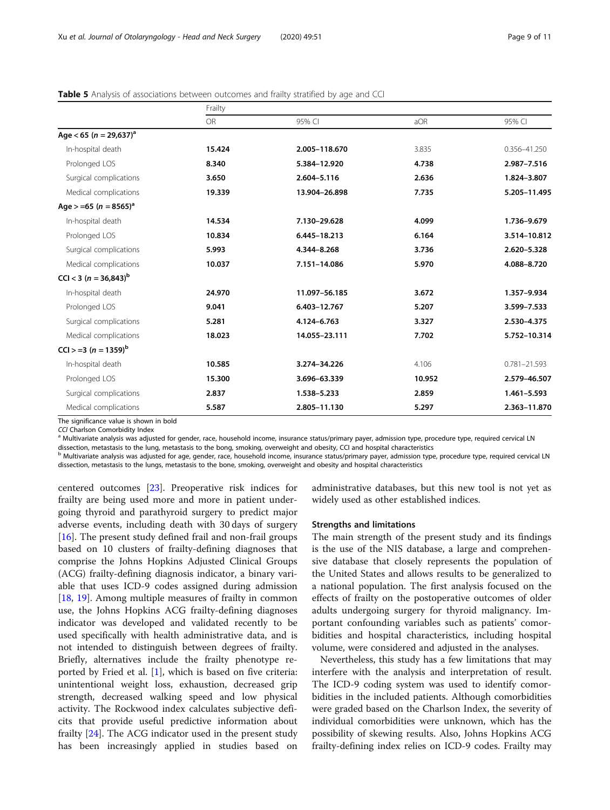|                                        | Frailty   |               |        |                  |  |
|----------------------------------------|-----------|---------------|--------|------------------|--|
|                                        | <b>OR</b> | 95% CI        | aOR    | 95% CI           |  |
| Age < 65 ( $n = 29,637$ ) <sup>a</sup> |           |               |        |                  |  |
| In-hospital death                      | 15.424    | 2.005-118.670 | 3.835  | 0.356-41.250     |  |
| Prolonged LOS                          | 8.340     | 5.384-12.920  | 4.738  | 2.987-7.516      |  |
| Surgical complications                 | 3.650     | 2.604-5.116   | 2.636  | 1.824-3.807      |  |
| Medical complications                  | 19.339    | 13.904-26.898 | 7.735  | 5.205-11.495     |  |
| Age > =65 (n = 8565) <sup>a</sup>      |           |               |        |                  |  |
| In-hospital death                      | 14.534    | 7.130-29.628  | 4.099  | 1.736-9.679      |  |
| Prolonged LOS                          | 10.834    | 6.445-18.213  | 6.164  | 3.514-10.812     |  |
| Surgical complications                 | 5.993     | 4.344-8.268   | 3.736  | 2.620-5.328      |  |
| Medical complications                  | 10.037    | 7.151-14.086  | 5.970  | 4.088-8.720      |  |
| CCI < 3 ( $n = 36,843$ ) <sup>b</sup>  |           |               |        |                  |  |
| In-hospital death                      | 24.970    | 11.097-56.185 | 3.672  | 1.357-9.934      |  |
| Prolonged LOS                          | 9.041     | 6.403-12.767  | 5.207  | 3.599-7.533      |  |
| Surgical complications                 | 5.281     | 4.124-6.763   | 3.327  | 2.530-4.375      |  |
| Medical complications                  | 18.023    | 14.055-23.111 | 7.702  | 5.752-10.314     |  |
| $ CC $ > =3 (n = 1359) <sup>b</sup>    |           |               |        |                  |  |
| In-hospital death                      | 10.585    | 3.274-34.226  | 4.106  | $0.781 - 21.593$ |  |
| Prolonged LOS                          | 15.300    | 3.696-63.339  | 10.952 | 2.579-46.507     |  |
| Surgical complications                 | 2.837     | 1.538-5.233   | 2.859  | 1.461-5.593      |  |
| Medical complications                  | 5.587     | 2.805-11.130  | 5.297  | 2.363-11.870     |  |

<span id="page-8-0"></span>Table 5 Analysis of associations between outcomes and frailty stratified by age and CCI

The significance value is shown in bold<br>CCI Charlson Comorbidity Index

<sup>a</sup> Multivariate analysis was adjusted for gender, race, household income, insurance status/primary payer, admission type, procedure type, required cervical LN dissection, metastasis to the lung, metastasis to the bong, smoking, overweight and obesity, CCI and hospital characteristics

<sup>b</sup> Multivariate analysis was adjusted for age, gender, race, household income, insurance status/primary payer, admission type, procedure type, required cervical LN dissection, metastasis to the lungs, metastasis to the bone, smoking, overweight and obesity and hospital characteristics

centered outcomes [\[23\]](#page-10-0). Preoperative risk indices for frailty are being used more and more in patient undergoing thyroid and parathyroid surgery to predict major adverse events, including death with 30 days of surgery [[16\]](#page-9-0). The present study defined frail and non-frail groups based on 10 clusters of frailty-defining diagnoses that comprise the Johns Hopkins Adjusted Clinical Groups (ACG) frailty-defining diagnosis indicator, a binary variable that uses ICD-9 codes assigned during admission [[18,](#page-9-0) [19\]](#page-9-0). Among multiple measures of frailty in common use, the Johns Hopkins ACG frailty-defining diagnoses indicator was developed and validated recently to be used specifically with health administrative data, and is not intended to distinguish between degrees of frailty. Briefly, alternatives include the frailty phenotype reported by Fried et al. [[1\]](#page-9-0), which is based on five criteria: unintentional weight loss, exhaustion, decreased grip strength, decreased walking speed and low physical activity. The Rockwood index calculates subjective deficits that provide useful predictive information about frailty [\[24](#page-10-0)]. The ACG indicator used in the present study has been increasingly applied in studies based on

administrative databases, but this new tool is not yet as widely used as other established indices.

#### Strengths and limitations

The main strength of the present study and its findings is the use of the NIS database, a large and comprehensive database that closely represents the population of the United States and allows results to be generalized to a national population. The first analysis focused on the effects of frailty on the postoperative outcomes of older adults undergoing surgery for thyroid malignancy. Important confounding variables such as patients' comorbidities and hospital characteristics, including hospital volume, were considered and adjusted in the analyses.

Nevertheless, this study has a few limitations that may interfere with the analysis and interpretation of result. The ICD-9 coding system was used to identify comorbidities in the included patients. Although comorbidities were graded based on the Charlson Index, the severity of individual comorbidities were unknown, which has the possibility of skewing results. Also, Johns Hopkins ACG frailty-defining index relies on ICD-9 codes. Frailty may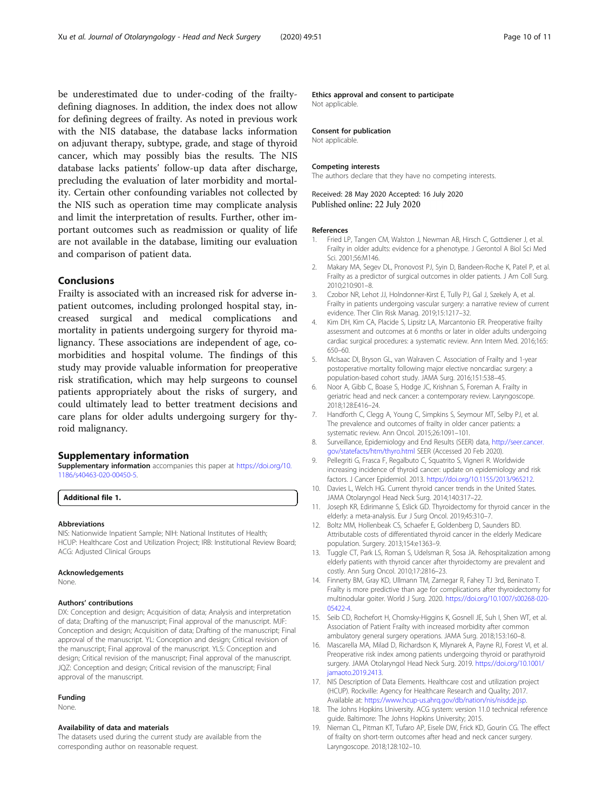<span id="page-9-0"></span>be underestimated due to under-coding of the frailtydefining diagnoses. In addition, the index does not allow for defining degrees of frailty. As noted in previous work with the NIS database, the database lacks information on adjuvant therapy, subtype, grade, and stage of thyroid cancer, which may possibly bias the results. The NIS database lacks patients' follow-up data after discharge, precluding the evaluation of later morbidity and mortality. Certain other confounding variables not collected by the NIS such as operation time may complicate analysis and limit the interpretation of results. Further, other important outcomes such as readmission or quality of life are not available in the database, limiting our evaluation and comparison of patient data.

#### Conclusions

Frailty is associated with an increased risk for adverse inpatient outcomes, including prolonged hospital stay, increased surgical and medical complications and mortality in patients undergoing surgery for thyroid malignancy. These associations are independent of age, comorbidities and hospital volume. The findings of this study may provide valuable information for preoperative risk stratification, which may help surgeons to counsel patients appropriately about the risks of surgery, and could ultimately lead to better treatment decisions and care plans for older adults undergoing surgery for thyroid malignancy.

#### Supplementary information

Supplementary information accompanies this paper at [https://doi.org/10.](https://doi.org/10.1186/s40463-020-00450-5) [1186/s40463-020-00450-5](https://doi.org/10.1186/s40463-020-00450-5).

Additional file 1.

#### Abbreviations

NIS: Nationwide Inpatient Sample; NIH: National Institutes of Health; HCUP: Healthcare Cost and Utilization Project; IRB: Institutional Review Board; ACG: Adjusted Clinical Groups

#### Acknowledgements

None.

#### Authors' contributions

DX: Conception and design; Acquisition of data; Analysis and interpretation of data; Drafting of the manuscript; Final approval of the manuscript. MJF: Conception and design; Acquisition of data; Drafting of the manuscript; Final approval of the manuscript. YL: Conception and design; Critical revision of the manuscript; Final approval of the manuscript. YLS: Conception and design; Critical revision of the manuscript; Final approval of the manuscript. JQZ: Conception and design; Critical revision of the manuscript; Final approval of the manuscript.

#### Funding

None.

#### Availability of data and materials

The datasets used during the current study are available from the corresponding author on reasonable request.

Ethics approval and consent to participate Not applicable.

#### Consent for publication

Not applicable.

#### Competing interests

The authors declare that they have no competing interests.

Received: 28 May 2020 Accepted: 16 July 2020 Published online: 22 July 2020

#### References

- 1. Fried LP, Tangen CM, Walston J, Newman AB, Hirsch C, Gottdiener J, et al. Frailty in older adults: evidence for a phenotype. J Gerontol A Biol Sci Med Sci. 2001;56:M146.
- 2. Makary MA, Segev DL, Pronovost PJ, Syin D, Bandeen-Roche K, Patel P, et al. Frailty as a predictor of surgical outcomes in older patients. J Am Coll Surg. 2010;210:901–8.
- 3. Czobor NR, Lehot JJ, Holndonner-Kirst E, Tully PJ, Gal J, Szekely A, et al. Frailty in patients undergoing vascular surgery: a narrative review of current evidence. Ther Clin Risk Manag. 2019;15:1217–32.
- 4. Kim DH, Kim CA, Placide S, Lipsitz LA, Marcantonio ER. Preoperative frailty assessment and outcomes at 6 months or later in older adults undergoing cardiac surgical procedures: a systematic review. Ann Intern Med. 2016;165: 650–60.
- 5. McIsaac DI, Bryson GL, van Walraven C. Association of Frailty and 1-year postoperative mortality following major elective noncardiac surgery: a population-based cohort study. JAMA Surg. 2016;151:538–45.
- 6. Noor A, Gibb C, Boase S, Hodge JC, Krishnan S, Foreman A. Frailty in geriatric head and neck cancer: a contemporary review. Laryngoscope. 2018;128:E416–24.
- Handforth C, Clegg A, Young C, Simpkins S, Seymour MT, Selby PJ, et al. The prevalence and outcomes of frailty in older cancer patients: a systematic review. Ann Oncol. 2015;26:1091–101.
- 8. Surveillance, Epidemiology and End Results (SEER) data, [http://seer.cancer.](http://seer.cancer.gov/statefacts/htm/thyro.html) [gov/statefacts/htm/thyro.html](http://seer.cancer.gov/statefacts/htm/thyro.html) SEER (Accessed 20 Feb 2020).
- 9. Pellegriti G, Frasca F, Regalbuto C, Squatrito S, Vigneri R. Worldwide increasing incidence of thyroid cancer: update on epidemiology and risk factors. J Cancer Epidemiol. 2013. [https://doi.org/10.1155/2013/965212.](https://doi.org/10.1155/2013/965212)
- 10. Davies L, Welch HG. Current thyroid cancer trends in the United States. JAMA Otolaryngol Head Neck Surg. 2014;140:317–22.
- 11. Joseph KR, Edirimanne S, Eslick GD. Thyroidectomy for thyroid cancer in the elderly: a meta-analysis. Eur J Surg Oncol. 2019;45:310–7.
- 12. Boltz MM, Hollenbeak CS, Schaefer E, Goldenberg D, Saunders BD. Attributable costs of differentiated thyroid cancer in the elderly Medicare population. Surgery. 2013;154:e1363–9.
- 13. Tuggle CT, Park LS, Roman S, Udelsman R, Sosa JA. Rehospitalization among elderly patients with thyroid cancer after thyroidectomy are prevalent and costly. Ann Surg Oncol. 2010;17:2816–23.
- 14. Finnerty BM, Gray KD, Ullmann TM, Zarnegar R, Fahey TJ 3rd, Beninato T. Frailty is more predictive than age for complications after thyroidectomy for multinodular goiter. World J Surg. 2020. [https://doi.org/10.1007/s00268-020-](https://doi.org/10.1007/s00268-020-05422-4) [05422-4](https://doi.org/10.1007/s00268-020-05422-4).
- 15. Seib CD, Rochefort H, Chomsky-Higgins K, Gosnell JE, Suh I, Shen WT, et al. Association of Patient Frailty with increased morbidity after common ambulatory general surgery operations. JAMA Surg. 2018;153:160–8.
- 16. Mascarella MA, Milad D, Richardson K, Mlynarek A, Payne RJ, Forest VI, et al. Preoperative risk index among patients undergoing thyroid or parathyroid surgery. JAMA Otolaryngol Head Neck Surg. 2019. [https://doi.org/10.1001/](https://doi.org/10.1001/jamaoto.2019.2413) [jamaoto.2019.2413.](https://doi.org/10.1001/jamaoto.2019.2413)
- 17. NIS Description of Data Elements. Healthcare cost and utilization project (HCUP). Rockville: Agency for Healthcare Research and Quality; 2017. Available at: [https://www.hcup-us.ahrq.gov/db/nation/nis/nisdde.jsp.](https://www.hcup-us.ahrq.gov/db/nation/nis/nisdde.jsp)
- 18. The Johns Hopkins University. ACG system: version 11.0 technical reference guide. Baltimore: The Johns Hopkins University; 2015.
- 19. Nieman CL, Pitman KT, Tufaro AP, Eisele DW, Frick KD, Gourin CG. The effect of frailty on short-term outcomes after head and neck cancer surgery. Laryngoscope. 2018;128:102–10.